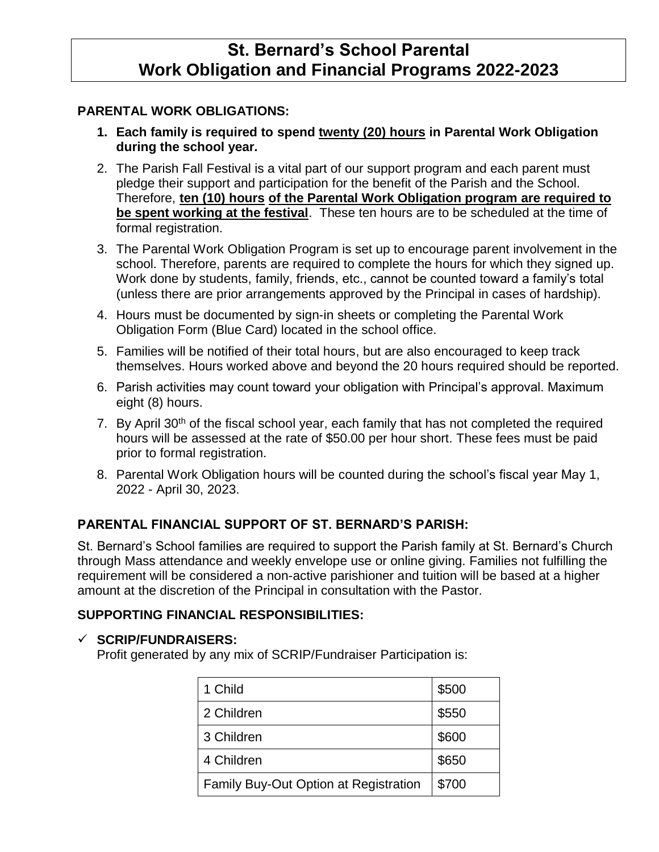# **St. Bernard's School Parental Work Obligation and Financial Programs 2022-2023**

## **PARENTAL WORK OBLIGATIONS:**

- **1. Each family is required to spend twenty (20) hours in Parental Work Obligation during the school year.**
- 2. The Parish Fall Festival is a vital part of our support program and each parent must pledge their support and participation for the benefit of the Parish and the School. Therefore, **ten (10) hours of the Parental Work Obligation program are required to be spent working at the festival**. These ten hours are to be scheduled at the time of formal registration.
- 3. The Parental Work Obligation Program is set up to encourage parent involvement in the school. Therefore, parents are required to complete the hours for which they signed up. Work done by students, family, friends, etc., cannot be counted toward a family's total (unless there are prior arrangements approved by the Principal in cases of hardship).
- 4. Hours must be documented by sign-in sheets or completing the Parental Work Obligation Form (Blue Card) located in the school office.
- 5. Families will be notified of their total hours, but are also encouraged to keep track themselves. Hours worked above and beyond the 20 hours required should be reported.
- 6. Parish activities may count toward your obligation with Principal's approval. Maximum eight (8) hours.
- 7. By April 30<sup>th</sup> of the fiscal school year, each family that has not completed the required hours will be assessed at the rate of \$50.00 per hour short. These fees must be paid prior to formal registration.
- 8. Parental Work Obligation hours will be counted during the school's fiscal year May 1, 2022 - April 30, 2023.

## **PARENTAL FINANCIAL SUPPORT OF ST. BERNARD'S PARISH:**

St. Bernard's School families are required to support the Parish family at St. Bernard's Church through Mass attendance and weekly envelope use or online giving. Families not fulfilling the requirement will be considered a non-active parishioner and tuition will be based at a higher amount at the discretion of the Principal in consultation with the Pastor.

### **SUPPORTING FINANCIAL RESPONSIBILITIES:**

#### **SCRIP/FUNDRAISERS:**

Profit generated by any mix of SCRIP/Fundraiser Participation is:

| 1 Child                                      | \$500 |
|----------------------------------------------|-------|
| 2 Children                                   | \$550 |
| 3 Children                                   | \$600 |
| 4 Children                                   | \$650 |
| <b>Family Buy-Out Option at Registration</b> | \$700 |